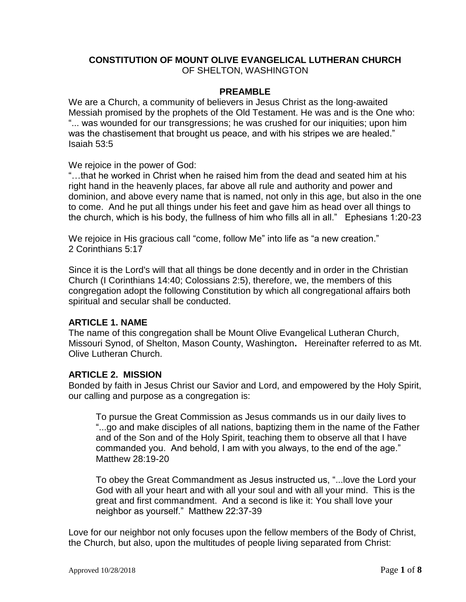## **CONSTITUTION OF MOUNT OLIVE EVANGELICAL LUTHERAN CHURCH** OF SHELTON, WASHINGTON

#### **PREAMBLE**

We are a Church, a community of believers in Jesus Christ as the long-awaited Messiah promised by the prophets of the Old Testament. He was and is the One who: "... was wounded for our transgressions; he was crushed for our iniquities; upon him was the chastisement that brought us peace, and with his stripes we are healed." Isaiah 53:5

We rejoice in the power of God:

"…that he worked in Christ when he raised him from the dead and seated him at his right hand in the heavenly places, far above all rule and authority and power and dominion, and above every name that is named, not only in this age, but also in the one to come. And he put all things under his feet and gave him as head over all things to the church, which is his body, the fullness of him who fills all in all." Ephesians 1:20-23

We rejoice in His gracious call "come, follow Me" into life as "a new creation." 2 Corinthians 5:17

Since it is the Lord's will that all things be done decently and in order in the Christian Church (I Corinthians 14:40; Colossians 2:5), therefore, we, the members of this congregation adopt the following Constitution by which all congregational affairs both spiritual and secular shall be conducted.

### **ARTICLE 1. NAME**

The name of this congregation shall be Mount Olive Evangelical Lutheran Church, Missouri Synod, of Shelton, Mason County, Washington**.** Hereinafter referred to as Mt. Olive Lutheran Church.

### **ARTICLE 2. MISSION**

Bonded by faith in Jesus Christ our Savior and Lord, and empowered by the Holy Spirit, our calling and purpose as a congregation is:

To pursue the Great Commission as Jesus commands us in our daily lives to "...go and make disciples of all nations, baptizing them in the name of the Father and of the Son and of the Holy Spirit, teaching them to observe all that I have commanded you. And behold, I am with you always, to the end of the age." Matthew 28:19-20

To obey the Great Commandment as Jesus instructed us, "...love the Lord your God with all your heart and with all your soul and with all your mind. This is the great and first commandment. And a second is like it: You shall love your neighbor as yourself." Matthew 22:37-39

Love for our neighbor not only focuses upon the fellow members of the Body of Christ, the Church, but also, upon the multitudes of people living separated from Christ: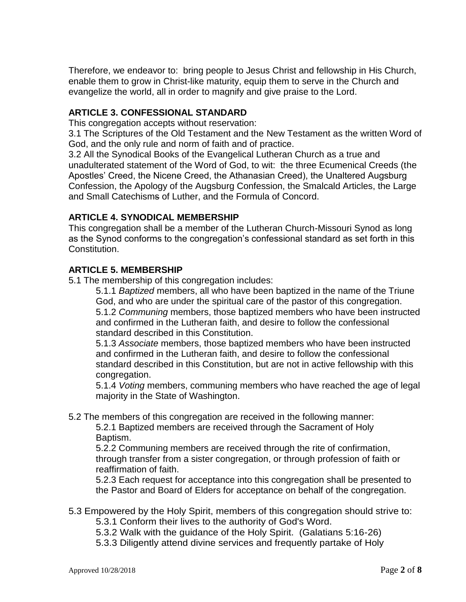Therefore, we endeavor to: bring people to Jesus Christ and fellowship in His Church, enable them to grow in Christ-like maturity, equip them to serve in the Church and evangelize the world, all in order to magnify and give praise to the Lord.

## **ARTICLE 3. CONFESSIONAL STANDARD**

This congregation accepts without reservation:

3.1 The Scriptures of the Old Testament and the New Testament as the written Word of God, and the only rule and norm of faith and of practice.

3.2 All the Synodical Books of the Evangelical Lutheran Church as a true and unadulterated statement of the Word of God, to wit: the three Ecumenical Creeds (the Apostles' Creed, the Nicene Creed, the Athanasian Creed), the Unaltered Augsburg Confession, the Apology of the Augsburg Confession, the Smalcald Articles, the Large and Small Catechisms of Luther, and the Formula of Concord.

## **ARTICLE 4. SYNODICAL MEMBERSHIP**

This congregation shall be a member of the Lutheran Church-Missouri Synod as long as the Synod conforms to the congregation's confessional standard as set forth in this Constitution.

## **ARTICLE 5. MEMBERSHIP**

5.1 The membership of this congregation includes:

5.1.1 *Baptized* members, all who have been baptized in the name of the Triune God, and who are under the spiritual care of the pastor of this congregation. 5.1.2 *Communing* members, those baptized members who have been instructed and confirmed in the Lutheran faith, and desire to follow the confessional standard described in this Constitution.

5.1.3 *Associate* members, those baptized members who have been instructed and confirmed in the Lutheran faith, and desire to follow the confessional standard described in this Constitution, but are not in active fellowship with this congregation.

5.1.4 *Voting* members, communing members who have reached the age of legal majority in the State of Washington.

5.2 The members of this congregation are received in the following manner:

5.2.1 Baptized members are received through the Sacrament of Holy Baptism.

5.2.2 Communing members are received through the rite of confirmation, through transfer from a sister congregation, or through profession of faith or reaffirmation of faith.

5.2.3 Each request for acceptance into this congregation shall be presented to the Pastor and Board of Elders for acceptance on behalf of the congregation.

### 5.3 Empowered by the Holy Spirit, members of this congregation should strive to:

5.3.1 Conform their lives to the authority of God's Word.

5.3.2 Walk with the guidance of the Holy Spirit. (Galatians 5:16-26)

5.3.3 Diligently attend divine services and frequently partake of Holy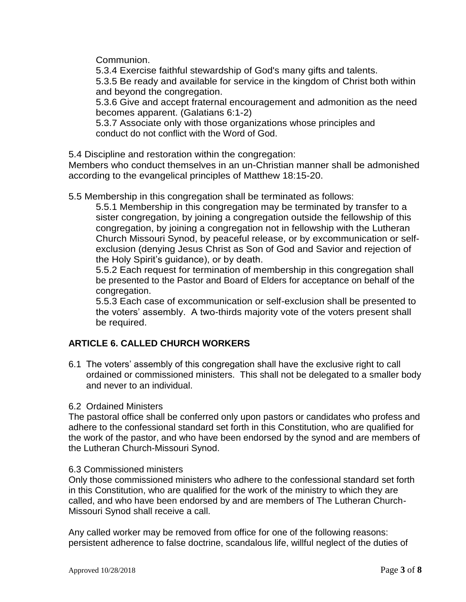Communion.

5.3.4 Exercise faithful stewardship of God's many gifts and talents.

5.3.5 Be ready and available for service in the kingdom of Christ both within and beyond the congregation.

5.3.6 Give and accept fraternal encouragement and admonition as the need becomes apparent. (Galatians 6:1-2)

5.3.7 Associate only with those organizations whose principles and conduct do not conflict with the Word of God.

5.4 Discipline and restoration within the congregation:

Members who conduct themselves in an un-Christian manner shall be admonished according to the evangelical principles of Matthew 18:15-20.

5.5 Membership in this congregation shall be terminated as follows:

5.5.1 Membership in this congregation may be terminated by transfer to a sister congregation, by joining a congregation outside the fellowship of this congregation, by joining a congregation not in fellowship with the Lutheran Church Missouri Synod, by peaceful release, or by excommunication or selfexclusion (denying Jesus Christ as Son of God and Savior and rejection of the Holy Spirit's guidance), or by death.

5.5.2 Each request for termination of membership in this congregation shall be presented to the Pastor and Board of Elders for acceptance on behalf of the congregation.

 5.5.3 Each case of excommunication or self-exclusion shall be presented to the voters' assembly. A two-thirds majority vote of the voters present shall be required.

# **ARTICLE 6. CALLED CHURCH WORKERS**

6.1 The voters' assembly of this congregation shall have the exclusive right to call ordained or commissioned ministers. This shall not be delegated to a smaller body and never to an individual.

### 6.2 Ordained Ministers

The pastoral office shall be conferred only upon pastors or candidates who profess and adhere to the confessional standard set forth in this Constitution, who are qualified for the work of the pastor, and who have been endorsed by the synod and are members of the Lutheran Church-Missouri Synod.

### 6.3 Commissioned ministers

Only those commissioned ministers who adhere to the confessional standard set forth in this Constitution, who are qualified for the work of the ministry to which they are called, and who have been endorsed by and are members of The Lutheran Church-Missouri Synod shall receive a call.

Any called worker may be removed from office for one of the following reasons: persistent adherence to false doctrine, scandalous life, willful neglect of the duties of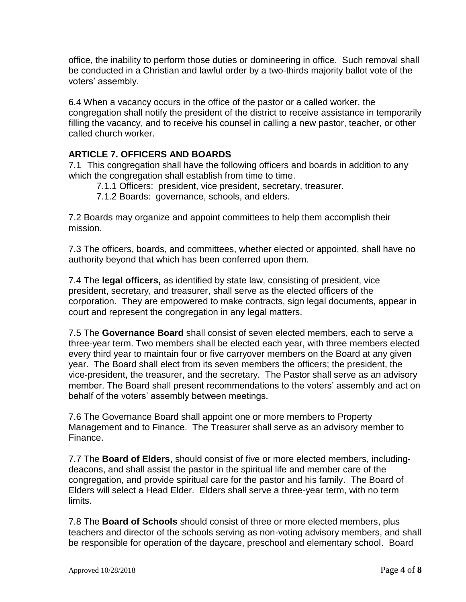office, the inability to perform those duties or domineering in office. Such removal shall be conducted in a Christian and lawful order by a two-thirds majority ballot vote of the voters' assembly.

6.4 When a vacancy occurs in the office of the pastor or a called worker, the congregation shall notify the president of the district to receive assistance in temporarily filling the vacancy, and to receive his counsel in calling a new pastor, teacher, or other called church worker.

# **ARTICLE 7. OFFICERS AND BOARDS**

7.1 This congregation shall have the following officers and boards in addition to any which the congregation shall establish from time to time.

- 7.1.1 Officers: president, vice president, secretary, treasurer.
- 7.1.2 Boards: governance, schools, and elders.

7.2 Boards may organize and appoint committees to help them accomplish their mission.

7.3 The officers, boards, and committees, whether elected or appointed, shall have no authority beyond that which has been conferred upon them.

7.4 The **legal officers,** as identified by state law, consisting of president, vice president, secretary, and treasurer, shall serve as the elected officers of the corporation. They are empowered to make contracts, sign legal documents, appear in court and represent the congregation in any legal matters.

7.5 The **Governance Board** shall consist of seven elected members, each to serve a three-year term. Two members shall be elected each year, with three members elected every third year to maintain four or five carryover members on the Board at any given year. The Board shall elect from its seven members the officers; the president, the vice-president, the treasurer, and the secretary. The Pastor shall serve as an advisory member. The Board shall present recommendations to the voters' assembly and act on behalf of the voters' assembly between meetings.

7.6 The Governance Board shall appoint one or more members to Property Management and to Finance. The Treasurer shall serve as an advisory member to Finance.

7.7 The **Board of Elders**, should consist of five or more elected members, includingdeacons, and shall assist the pastor in the spiritual life and member care of the congregation, and provide spiritual care for the pastor and his family. The Board of Elders will select a Head Elder. Elders shall serve a three-year term, with no term limits.

7.8 The **Board of Schools** should consist of three or more elected members, plus teachers and director of the schools serving as non-voting advisory members, and shall be responsible for operation of the daycare, preschool and elementary school. Board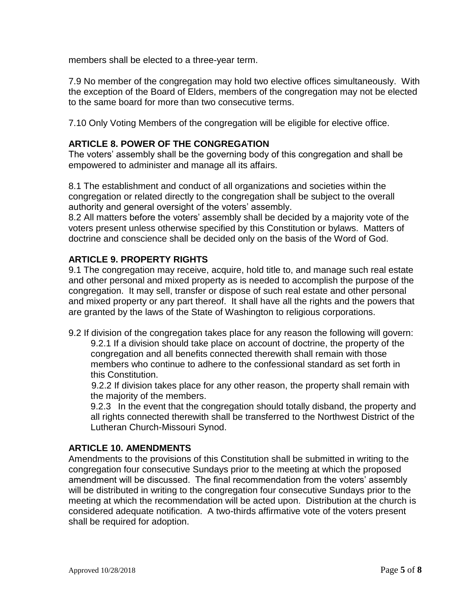members shall be elected to a three-year term.

7.9 No member of the congregation may hold two elective offices simultaneously. With the exception of the Board of Elders, members of the congregation may not be elected to the same board for more than two consecutive terms.

7.10 Only Voting Members of the congregation will be eligible for elective office.

## **ARTICLE 8. POWER OF THE CONGREGATION**

The voters' assembly shall be the governing body of this congregation and shall be empowered to administer and manage all its affairs.

8.1 The establishment and conduct of all organizations and societies within the congregation or related directly to the congregation shall be subject to the overall authority and general oversight of the voters' assembly.

8.2 All matters before the voters' assembly shall be decided by a majority vote of the voters present unless otherwise specified by this Constitution or bylaws. Matters of doctrine and conscience shall be decided only on the basis of the Word of God.

## **ARTICLE 9. PROPERTY RIGHTS**

9.1 The congregation may receive, acquire, hold title to, and manage such real estate and other personal and mixed property as is needed to accomplish the purpose of the congregation. It may sell, transfer or dispose of such real estate and other personal and mixed property or any part thereof. It shall have all the rights and the powers that are granted by the laws of the State of Washington to religious corporations.

9.2 If division of the congregation takes place for any reason the following will govern: 9.2.1 If a division should take place on account of doctrine, the property of the congregation and all benefits connected therewith shall remain with those members who continue to adhere to the confessional standard as set forth in this Constitution.

 9.2.2 If division takes place for any other reason, the property shall remain with the majority of the members.

9.2.3 In the event that the congregation should totally disband, the property and all rights connected therewith shall be transferred to the Northwest District of the Lutheran Church-Missouri Synod.

## **ARTICLE 10. AMENDMENTS**

Amendments to the provisions of this Constitution shall be submitted in writing to the congregation four consecutive Sundays prior to the meeting at which the proposed amendment will be discussed. The final recommendation from the voters' assembly will be distributed in writing to the congregation four consecutive Sundays prior to the meeting at which the recommendation will be acted upon. Distribution at the church is considered adequate notification. A two-thirds affirmative vote of the voters present shall be required for adoption.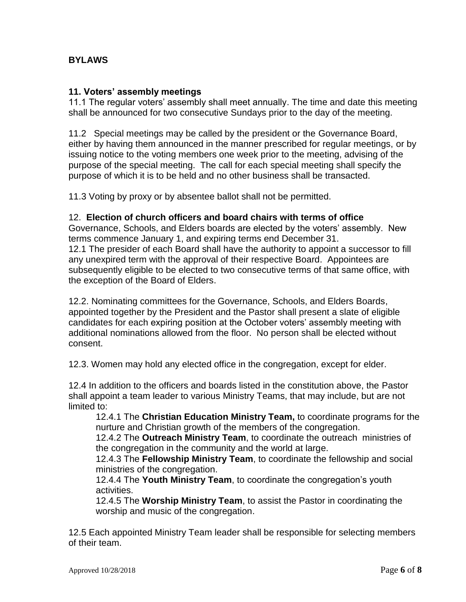## **BYLAWS**

### **11. Voters' assembly meetings**

11.1 The regular voters' assembly shall meet annually. The time and date this meeting shall be announced for two consecutive Sundays prior to the day of the meeting.

11.2 Special meetings may be called by the president or the Governance Board, either by having them announced in the manner prescribed for regular meetings, or by issuing notice to the voting members one week prior to the meeting, advising of the purpose of the special meeting. The call for each special meeting shall specify the purpose of which it is to be held and no other business shall be transacted.

11.3 Voting by proxy or by absentee ballot shall not be permitted.

#### 12. **Election of church officers and board chairs with terms of office**

Governance, Schools, and Elders boards are elected by the voters' assembly. New terms commence January 1, and expiring terms end December 31. 12.1 The presider of each Board shall have the authority to appoint a successor to fill any unexpired term with the approval of their respective Board. Appointees are subsequently eligible to be elected to two consecutive terms of that same office, with the exception of the Board of Elders.

12.2. Nominating committees for the Governance, Schools, and Elders Boards, appointed together by the President and the Pastor shall present a slate of eligible candidates for each expiring position at the October voters' assembly meeting with additional nominations allowed from the floor. No person shall be elected without consent.

12.3. Women may hold any elected office in the congregation, except for elder.

12.4 In addition to the officers and boards listed in the constitution above, the Pastor shall appoint a team leader to various Ministry Teams, that may include, but are not limited to:

12.4.1 The **Christian Education Ministry Team,** to coordinate programs for the nurture and Christian growth of the members of the congregation.

12.4.2 The **Outreach Ministry Team**, to coordinate the outreach ministries of the congregation in the community and the world at large.

12.4.3 The **Fellowship Ministry Team**, to coordinate the fellowship and social ministries of the congregation.

12.4.4 The **Youth Ministry Team**, to coordinate the congregation's youth activities.

12.4.5 The **Worship Ministry Team**, to assist the Pastor in coordinating the worship and music of the congregation.

12.5 Each appointed Ministry Team leader shall be responsible for selecting members of their team.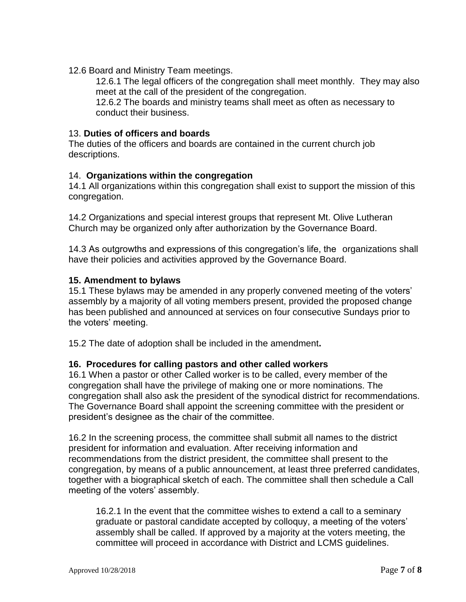12.6 Board and Ministry Team meetings.

12.6.1 The legal officers of the congregation shall meet monthly. They may also meet at the call of the president of the congregation.

12.6.2 The boards and ministry teams shall meet as often as necessary to conduct their business.

#### 13. **Duties of officers and boards**

The duties of the officers and boards are contained in the current church job descriptions.

#### 14. **Organizations within the congregation**

14.1 All organizations within this congregation shall exist to support the mission of this congregation.

14.2 Organizations and special interest groups that represent Mt. Olive Lutheran Church may be organized only after authorization by the Governance Board.

14.3 As outgrowths and expressions of this congregation's life, the organizations shall have their policies and activities approved by the Governance Board.

#### **15. Amendment to bylaws**

15.1 These bylaws may be amended in any properly convened meeting of the voters' assembly by a majority of all voting members present, provided the proposed change has been published and announced at services on four consecutive Sundays prior to the voters' meeting.

15.2 The date of adoption shall be included in the amendment**.**

#### **16. Procedures for calling pastors and other called workers**

16.1 When a pastor or other Called worker is to be called, every member of the congregation shall have the privilege of making one or more nominations. The congregation shall also ask the president of the synodical district for recommendations. The Governance Board shall appoint the screening committee with the president or president's designee as the chair of the committee.

16.2 In the screening process, the committee shall submit all names to the district president for information and evaluation. After receiving information and recommendations from the district president, the committee shall present to the congregation, by means of a public announcement, at least three preferred candidates, together with a biographical sketch of each. The committee shall then schedule a Call meeting of the voters' assembly.

16.2.1 In the event that the committee wishes to extend a call to a seminary graduate or pastoral candidate accepted by colloquy, a meeting of the voters' assembly shall be called. If approved by a majority at the voters meeting, the committee will proceed in accordance with District and LCMS guidelines.